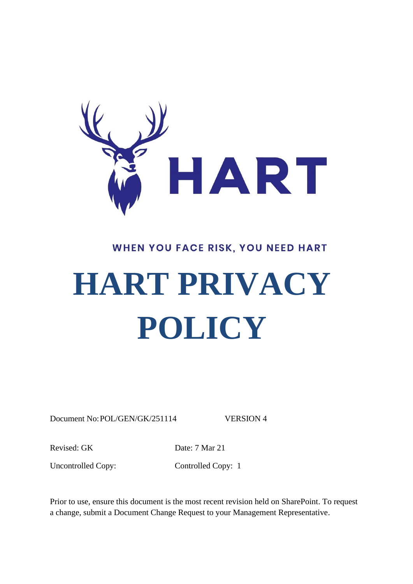

# WHEN YOU FACE RISK, YOU NEED HART

# **HART PRIVACY POLICY**

Document No: POL/GEN/GK/251114 VERSION 4

Revised: GK Date: 7 Mar 21

Uncontrolled Copy: Controlled Copy: 1

Prior to use, ensure this document is the most recent revision held on SharePoint. To request a change, submit a Document Change Request to your Management Representative.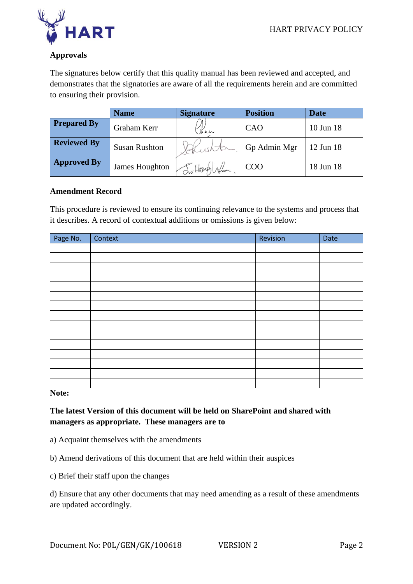

## **Approvals**

The signatures below certify that this quality manual has been reviewed and accepted, and demonstrates that the signatories are aware of all the requirements herein and are committed to ensuring their provision.

|                    | <b>Name</b>          | <b>Signature</b> | <b>Position</b> | <b>Date</b> |
|--------------------|----------------------|------------------|-----------------|-------------|
| <b>Prepared By</b> | Graham Kerr          | Ken              | CAO             | 10 Jun 18   |
| <b>Reviewed By</b> | <b>Susan Rushton</b> |                  | Gp Admin Mgr    | 12 Jun 18   |
| <b>Approved By</b> | James Houghton       | Intonglis        | COO             | 18 Jun 18   |

#### **Amendment Record**

This procedure is reviewed to ensure its continuing relevance to the systems and process that it describes. A record of contextual additions or omissions is given below:

| Page No. | Context | Revision | Date |
|----------|---------|----------|------|
|          |         |          |      |
|          |         |          |      |
|          |         |          |      |
|          |         |          |      |
|          |         |          |      |
|          |         |          |      |
|          |         |          |      |
|          |         |          |      |
|          |         |          |      |
|          |         |          |      |
|          |         |          |      |
|          |         |          |      |
|          |         |          |      |
|          |         |          |      |
|          |         |          |      |

**Note:**

**The latest Version of this document will be held on SharePoint and shared with managers as appropriate. These managers are to**

- a) Acquaint themselves with the amendments
- b) Amend derivations of this document that are held within their auspices
- c) Brief their staff upon the changes

d) Ensure that any other documents that may need amending as a result of these amendments are updated accordingly.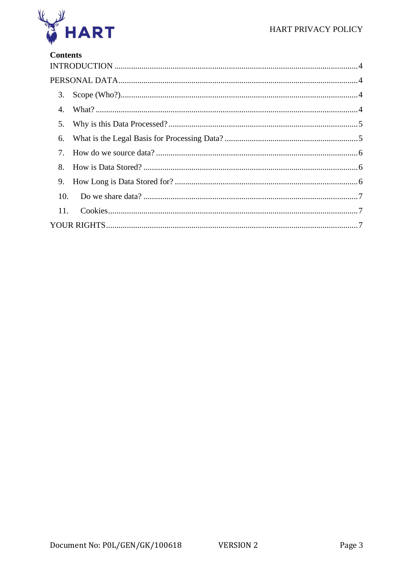

# **Contents**

| 5.  |  |
|-----|--|
| 6.  |  |
|     |  |
| 8.  |  |
| 9.  |  |
|     |  |
| 11. |  |
|     |  |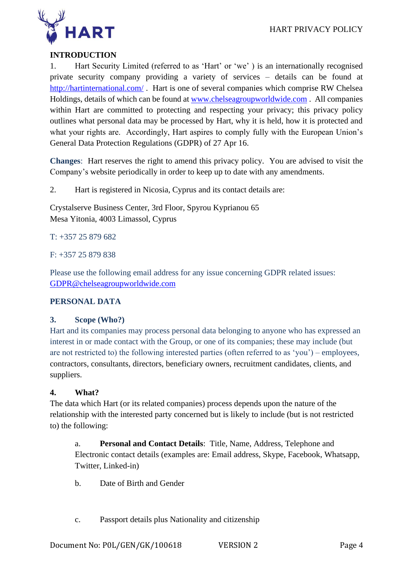

## <span id="page-3-0"></span>**INTRODUCTION**

1. Hart Security Limited (referred to as 'Hart' or 'we' ) is an internationally recognised private security company providing a variety of services – details can be found at <http://hartinternational.com/> . Hart is one of several companies which comprise RW Chelsea Holdings, details of which can be found at [www.chelseagroupworldwide.com](http://www.chelseagroupworldwide.com/) . All companies within Hart are committed to protecting and respecting your privacy; this privacy policy outlines what personal data may be processed by Hart, why it is held, how it is protected and what your rights are. Accordingly, Hart aspires to comply fully with the European Union's General Data Protection Regulations (GDPR) of 27 Apr 16.

**Changes**: Hart reserves the right to amend this privacy policy. You are advised to visit the Company's website periodically in order to keep up to date with any amendments.

2. Hart is registered in Nicosia, Cyprus and its contact details are:

Crystalserve Business Center, 3rd Floor, Spyrou Kyprianou 65 Mesa Yitonia, 4003 Limassol, Cyprus

#### T: +357 25 879 682

F: +357 25 879 838

Please use the following email address for any issue concerning GDPR related issues: [GDPR@chelseagroupworldwide.com](mailto:GDPR@chelseagroupworldwide.com)

#### <span id="page-3-1"></span>**PERSONAL DATA**

#### <span id="page-3-2"></span>**3. Scope (Who?)**

Hart and its companies may process personal data belonging to anyone who has expressed an interest in or made contact with the Group, or one of its companies; these may include (but are not restricted to) the following interested parties (often referred to as 'you') – employees, contractors, consultants, directors, beneficiary owners, recruitment candidates, clients, and suppliers.

#### <span id="page-3-3"></span>**4. What?**

The data which Hart (or its related companies) process depends upon the nature of the relationship with the interested party concerned but is likely to include (but is not restricted to) the following:

a. **Personal and Contact Details**: Title, Name, Address, Telephone and Electronic contact details (examples are: Email address, Skype, Facebook, Whatsapp, Twitter, Linked-in)

- b. Date of Birth and Gender
- c. Passport details plus Nationality and citizenship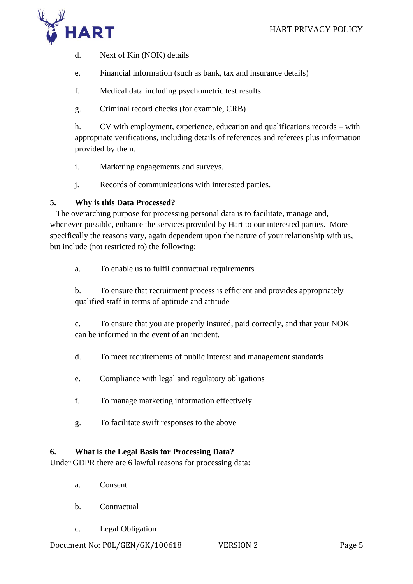

d. Next of Kin (NOK) details

- e. Financial information (such as bank, tax and insurance details)
- f. Medical data including psychometric test results
- g. Criminal record checks (for example, CRB)

h. CV with employment, experience, education and qualifications records – with appropriate verifications, including details of references and referees plus information provided by them.

- i. Marketing engagements and surveys.
- j. Records of communications with interested parties.

#### <span id="page-4-0"></span>**5. Why is this Data Processed?**

 The overarching purpose for processing personal data is to facilitate, manage and, whenever possible, enhance the services provided by Hart to our interested parties. More specifically the reasons vary, again dependent upon the nature of your relationship with us, but include (not restricted to) the following:

a. To enable us to fulfil contractual requirements

b. To ensure that recruitment process is efficient and provides appropriately qualified staff in terms of aptitude and attitude

c. To ensure that you are properly insured, paid correctly, and that your NOK can be informed in the event of an incident.

- d. To meet requirements of public interest and management standards
- e. Compliance with legal and regulatory obligations
- f. To manage marketing information effectively
- g. To facilitate swift responses to the above

#### <span id="page-4-1"></span>**6. What is the Legal Basis for Processing Data?**

Under GDPR there are 6 lawful reasons for processing data:

- a. Consent
- b. Contractual
- c. Legal Obligation

Document No: P0L/GEN/GK/100618 VERSION 2 Page 5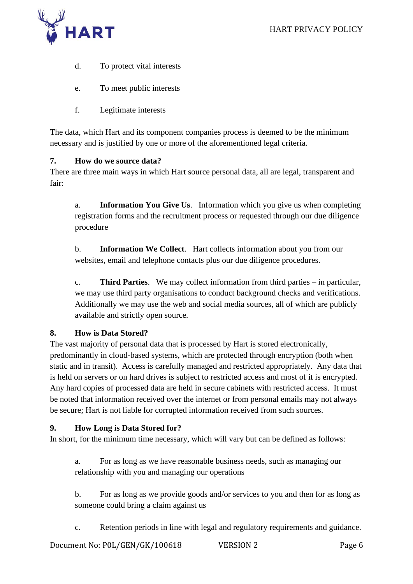

- d. To protect vital interests
- e. To meet public interests
- f. Legitimate interests

The data, which Hart and its component companies process is deemed to be the minimum necessary and is justified by one or more of the aforementioned legal criteria.

#### <span id="page-5-0"></span>**7. How do we source data?**

There are three main ways in which Hart source personal data, all are legal, transparent and fair:

a. **Information You Give Us**. Information which you give us when completing registration forms and the recruitment process or requested through our due diligence procedure

b. **Information We Collect**. Hart collects information about you from our websites, email and telephone contacts plus our due diligence procedures.

c. **Third Parties**. We may collect information from third parties – in particular, we may use third party organisations to conduct background checks and verifications. Additionally we may use the web and social media sources, all of which are publicly available and strictly open source.

#### <span id="page-5-1"></span>**8. How is Data Stored?**

The vast majority of personal data that is processed by Hart is stored electronically, predominantly in cloud-based systems, which are protected through encryption (both when static and in transit). Access is carefully managed and restricted appropriately. Any data that is held on servers or on hard drives is subject to restricted access and most of it is encrypted. Any hard copies of processed data are held in secure cabinets with restricted access. It must be noted that information received over the internet or from personal emails may not always be secure; Hart is not liable for corrupted information received from such sources.

#### <span id="page-5-2"></span>**9. How Long is Data Stored for?**

In short, for the minimum time necessary, which will vary but can be defined as follows:

a. For as long as we have reasonable business needs, such as managing our relationship with you and managing our operations

b. For as long as we provide goods and/or services to you and then for as long as someone could bring a claim against us

c. Retention periods in line with legal and regulatory requirements and guidance.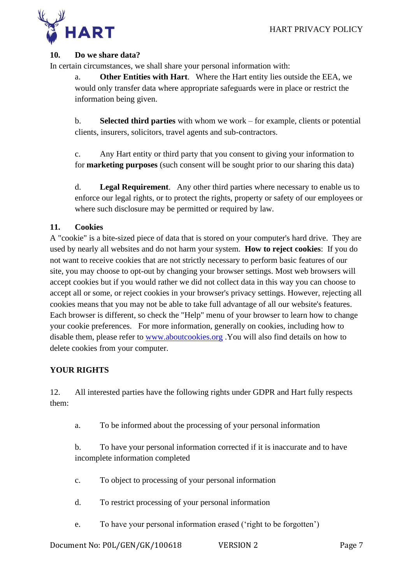

#### <span id="page-6-0"></span>**10. Do we share data?**

In certain circumstances, we shall share your personal information with:

a. **Other Entities with Hart**. Where the Hart entity lies outside the EEA, we would only transfer data where appropriate safeguards were in place or restrict the information being given.

b. **Selected third parties** with whom we work – for example, clients or potential clients, insurers, solicitors, travel agents and sub-contractors.

c. Any Hart entity or third party that you consent to giving your information to for **marketing purposes** (such consent will be sought prior to our sharing this data)

d. **Legal Requirement**. Any other third parties where necessary to enable us to enforce our legal rights, or to protect the rights, property or safety of our employees or where such disclosure may be permitted or required by law.

#### <span id="page-6-1"></span>**11. Cookies**

A "cookie" is a bite-sized piece of data that is stored on your computer's hard drive. They are used by nearly all websites and do not harm your system. **How to reject cookies**: If you do not want to receive cookies that are not strictly necessary to perform basic features of our site, you may choose to opt-out by changing your browser settings. Most web browsers will accept cookies but if you would rather we did not collect data in this way you can choose to accept all or some, or reject cookies in your browser's privacy settings. However, rejecting all cookies means that you may not be able to take full advantage of all our website's features. Each browser is different, so check the "Help" menu of your browser to learn how to change your cookie preferences. For more information, generally on cookies, including how to disable them, please refer to [www.aboutcookies.org](http://www.aboutcookies.org/) .You will also find details on how to delete cookies from your computer.

#### <span id="page-6-2"></span>**YOUR RIGHTS**

12. All interested parties have the following rights under GDPR and Hart fully respects them:

a. To be informed about the processing of your personal information

b. To have your personal information corrected if it is inaccurate and to have incomplete information completed

- c. To object to processing of your personal information
- d. To restrict processing of your personal information
- e. To have your personal information erased ('right to be forgotten')